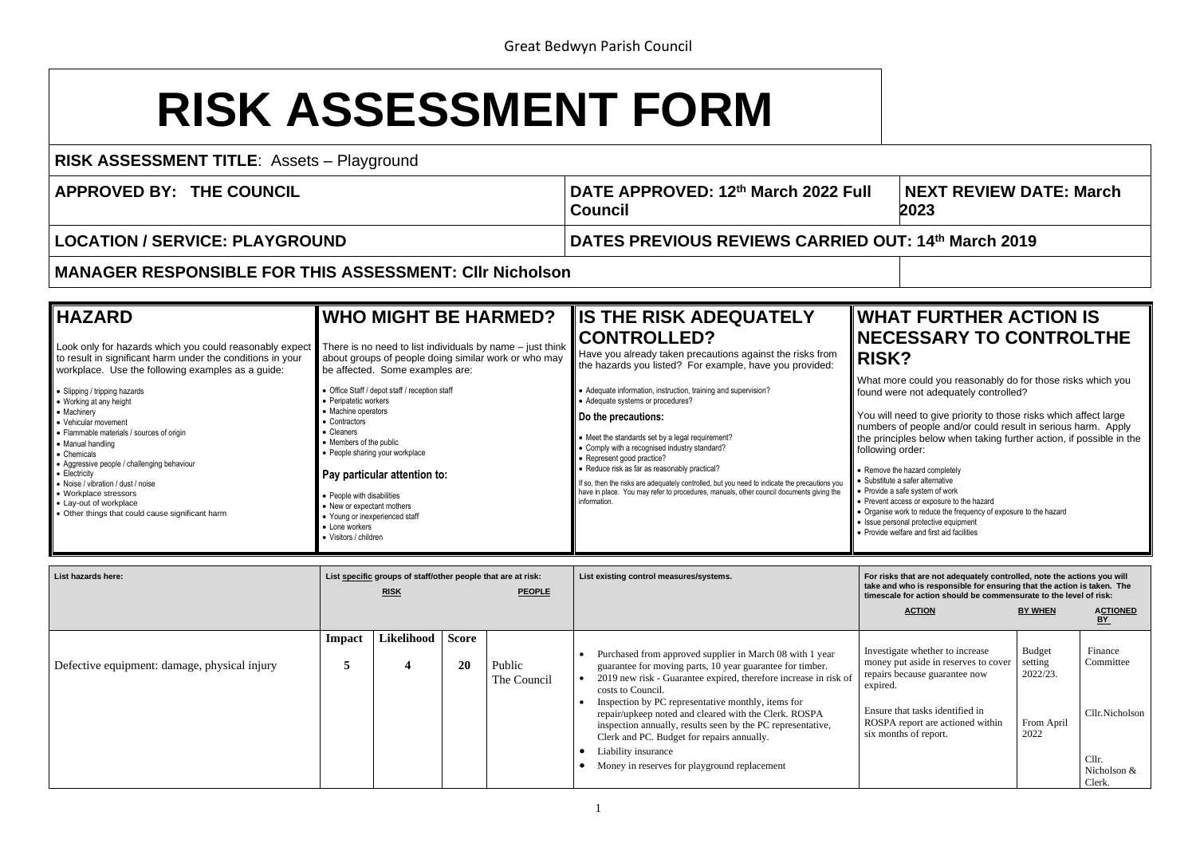## **RISK ASSESSMENT FORM**

**RISK ASSESSMENT TITLE**: Assets – Playground

**APPROVED BY: THE COUNCIL DATE APPROVED: 12th March 2022 Full** 

**Council**

## **NEXT REVIEW DATE: March 202023**

## **FURTHER ACTION IS ISSARY TO CONTROLTHE**

could you reasonably do for those risks which you not adequately controlled?

ed to give priority to those risks which affect large f people and/or could result in serious harm. Apply les below when taking further action, if possible in the rder:

hazard completely

- $s$ afer alternative
- fe system of work
- ess or exposure to the hazard
- rk to reduce the frequency of exposure to the hazard
- al protective equipment
- re and first aid facilities

**LOCATION / SERVICE: PLAYGROUND DATES PREVIOUS REVIEWS CARRIED OUT: 14th March 2019**

**MANAGER RESPONSIBLE FOR THIS ASSESSMENT: Cllr Nicholson**

| <b>IHAZARD</b>                                                                                                                                                                                                                                                                                                                                                                                                                                                                                                                                                                        | <b>WHO MIGHT BE HARMED?</b>                                                                                                                                                                                                                                                                                                                                                                                                                                                                                            | <b>IS THE RISK ADEQUATELY</b>                                                                                                                                                                                                                                                                                                                                                                                                                                                                                                                                                                                                                                            | <b>WHAT</b>                                                                                                                                                                                                                                                      |
|---------------------------------------------------------------------------------------------------------------------------------------------------------------------------------------------------------------------------------------------------------------------------------------------------------------------------------------------------------------------------------------------------------------------------------------------------------------------------------------------------------------------------------------------------------------------------------------|------------------------------------------------------------------------------------------------------------------------------------------------------------------------------------------------------------------------------------------------------------------------------------------------------------------------------------------------------------------------------------------------------------------------------------------------------------------------------------------------------------------------|--------------------------------------------------------------------------------------------------------------------------------------------------------------------------------------------------------------------------------------------------------------------------------------------------------------------------------------------------------------------------------------------------------------------------------------------------------------------------------------------------------------------------------------------------------------------------------------------------------------------------------------------------------------------------|------------------------------------------------------------------------------------------------------------------------------------------------------------------------------------------------------------------------------------------------------------------|
| Look only for hazards which you could reasonably expect<br>to result in significant harm under the conditions in your<br>workplace. Use the following examples as a guide:<br>• Slipping / tripping hazards<br>• Working at any height<br>  ● Machinery<br>• Vehicular movement<br>• Flammable materials / sources of origin<br>• Manual handling<br>• Chemicals<br>• Aggressive people / challenging behaviour<br>$\bullet$ Electricity<br>• Noise / vibration / dust / noise<br>• Workplace stressors<br>• Lay-out of workplace<br>• Other things that could cause significant harm | There is no need to list individuals by name $-$ just think<br>about groups of people doing similar work or who may<br>be affected. Some examples are:<br>• Office Staff / depot staff / reception staff<br>• Peripatetic workers<br>• Machine operators<br>Contractors<br>Cleaners<br>• Members of the public<br>• People sharing your workplace<br>Pay particular attention to:<br>• People with disabilities<br>New or expectant mothers<br>Young or inexperienced staff<br>• Lone workers<br>• Visitors / children | <b>CONTROLLED?</b><br>Have you already taken precautions against the risks from<br>the hazards you listed? For example, have you provided:<br>• Adequate information, instruction, training and supervision?<br>• Adequate systems or procedures?<br>Do the precautions:<br>• Meet the standards set by a legal requirement?<br>• Comply with a recognised industry standard?<br>• Represent good practice?<br>• Reduce risk as far as reasonably practical?<br>If so, then the risks are adequately controlled, but you need to indicate the precautions you<br>have in place. You may refer to procedures, manuals, other council documents giving the<br>information. | <b>NECES</b><br><b>RISK?</b><br>What more<br>found were<br>You will nee<br>numbers of<br>the principle<br>following or<br>• Remove the ha<br>• Substitute a sa<br>• Provide a safe<br>• Prevent access<br>Organise work<br>• Issue personal<br>· Provide welfare |

| List hazards here:                           | List specific groups of staff/other people that are at risk:<br><b>PEOPLE</b><br><b>RISK</b> |            |                    |                       | List existing control measures/systems.                                                                                                                                                                                                                                                                                                                                                                                                                                                                           | For risks that are not adequately controlled, note the actions you will<br>take and who is responsible for ensuring that the action is taken. The<br>timescale for action should be commensurate to the level of risk: |                                                            |                                                                          |
|----------------------------------------------|----------------------------------------------------------------------------------------------|------------|--------------------|-----------------------|-------------------------------------------------------------------------------------------------------------------------------------------------------------------------------------------------------------------------------------------------------------------------------------------------------------------------------------------------------------------------------------------------------------------------------------------------------------------------------------------------------------------|------------------------------------------------------------------------------------------------------------------------------------------------------------------------------------------------------------------------|------------------------------------------------------------|--------------------------------------------------------------------------|
|                                              |                                                                                              |            |                    |                       |                                                                                                                                                                                                                                                                                                                                                                                                                                                                                                                   | <b>ACTION</b>                                                                                                                                                                                                          | <b>BY WHEN</b>                                             | <b>ACTIONED</b><br><u>BY</u>                                             |
| Defective equipment: damage, physical injury | Impact                                                                                       | Likelihood | <b>Score</b><br>20 | Public<br>The Council | Purchased from approved supplier in March 08 with 1 year<br>guarantee for moving parts, 10 year guarantee for timber.<br>2019 new risk - Guarantee expired, therefore increase in risk of<br>costs to Council.<br>Inspection by PC representative monthly, items for<br>repair/upkeep noted and cleared with the Clerk. ROSPA<br>inspection annually, results seen by the PC representative,<br>Clerk and PC. Budget for repairs annually.<br>Liability insurance<br>Money in reserves for playground replacement | Investigate whether to increase<br>money put aside in reserves to cover<br>repairs because guarantee now<br>expired.<br>Ensure that tasks identified in<br>ROSPA report are actioned within<br>six months of report.   | <b>Budget</b><br>setting<br>2022/23.<br>From April<br>2022 | Finance<br>Committee<br>Cllr.Nicholson<br>Cllr.<br>Nicholson &<br>Clerk. |